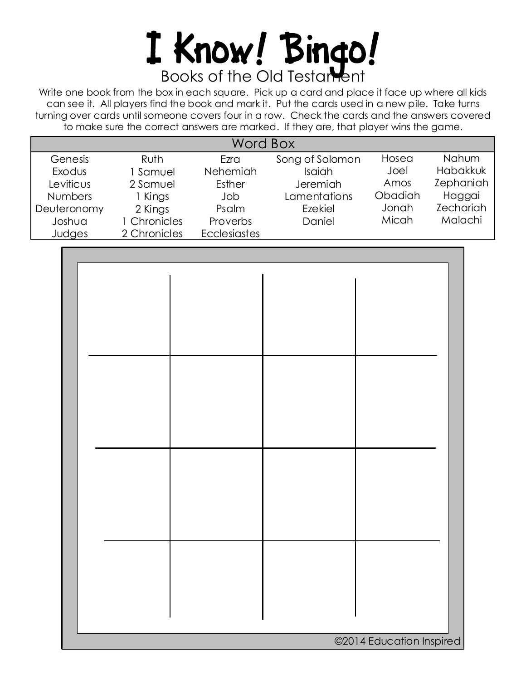## I Know! Bingo!

Write one book from the box in each square. Pick up a card and place it face up where all kids can see it. All players find the book and mark it. Put the cards used in a new pile. Take turns turning over cards until someone covers four in a row. Check the cards and the answers covered to make sure the correct answers are marked. If they are, that player wins the game.

| Word Box       |              |                     |                 |         |                  |
|----------------|--------------|---------------------|-----------------|---------|------------------|
| Genesis        | <b>Ruth</b>  | Ezra                | Song of Solomon | Hosea   | Nahum            |
| Exodus         | 1 Samuel     | Nehemiah            | Isaiah          | Joel    | Habakkuk         |
| Leviticus      | 2 Samuel     | Esther              | Jeremiah        | Amos    | Zephaniah        |
| <b>Numbers</b> | 1 Kings      | Job                 | Lamentations    | Obadiah | Haggai           |
| Deuteronomy    | 2 Kings      | Psalm               | Ezekiel         | Jonah   | <b>Zechariah</b> |
| Joshua         | 1 Chronicles | Proverbs            | Daniel          | Micah   | Malachi          |
| Judges         | 2 Chronicles | <b>Ecclesiastes</b> |                 |         |                  |

| ©2014 Education Inspired |  |  |  |
|--------------------------|--|--|--|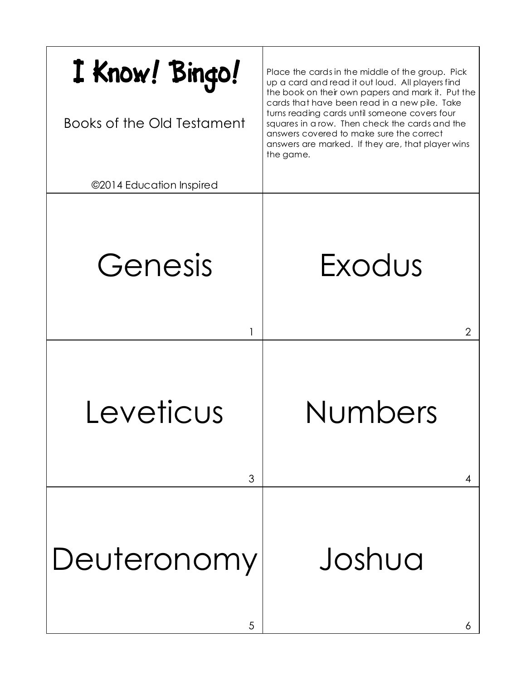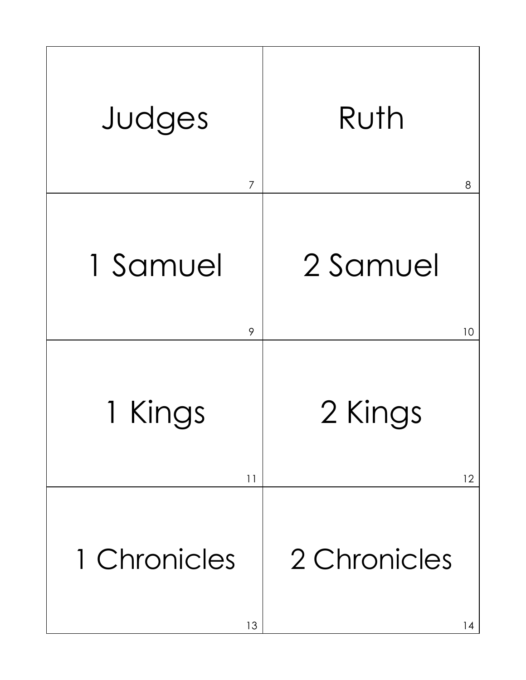| Judges         | Ruth         |
|----------------|--------------|
| $\overline{7}$ | 8            |
| 1 Samuel       | 2 Samuel     |
| 9              | 10           |
| 1 Kings        | 2 Kings      |
| 11             | 12           |
| 1 Chronicles   | 2 Chronicles |
| 13             | 14           |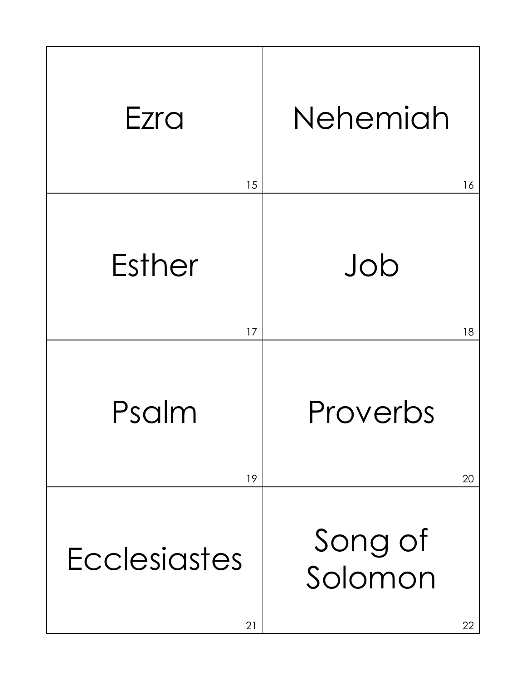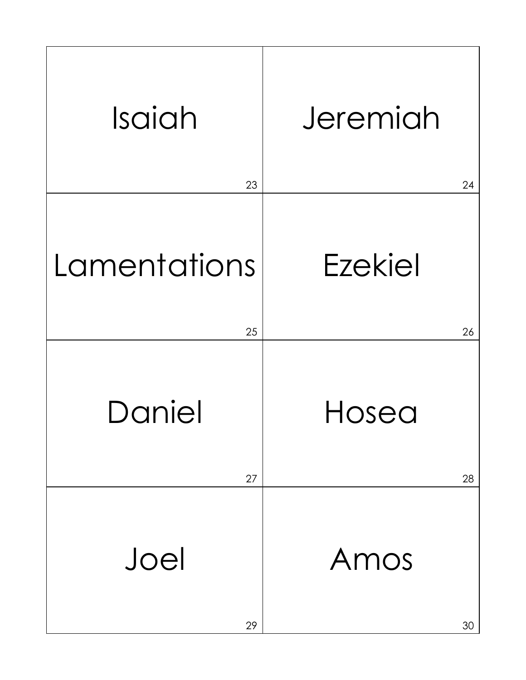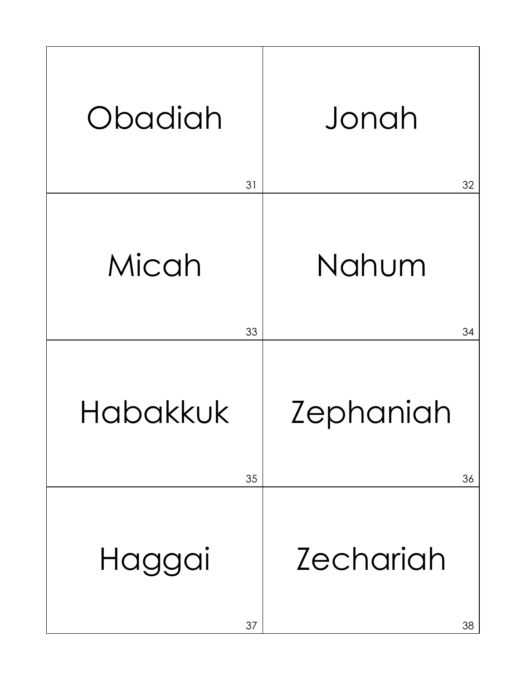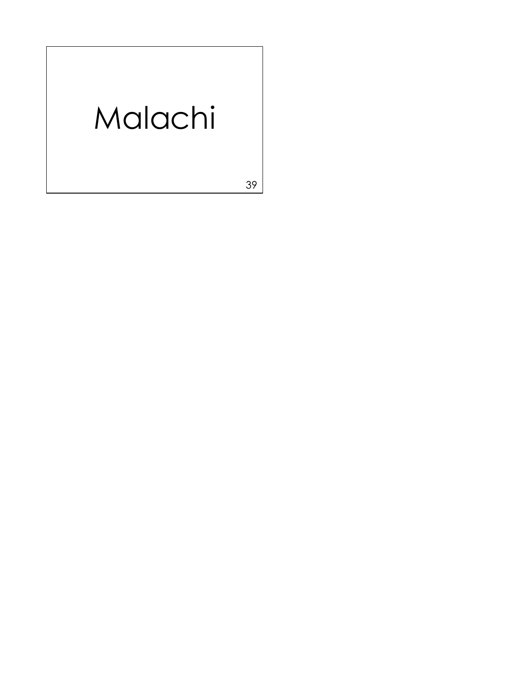## Malachi

39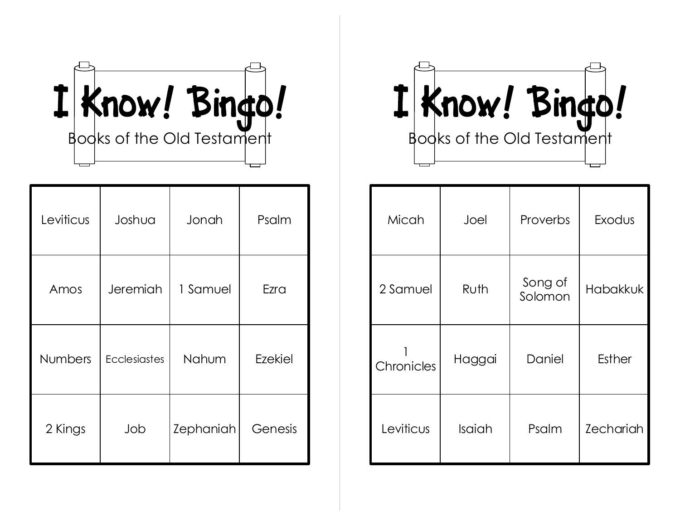

| Leviticus      | Joshua              | Jonah     | Psalm   |
|----------------|---------------------|-----------|---------|
| Amos           | Jeremiah            | 1 Samuel  | Ezra    |
| <b>Numbers</b> | <b>Ecclesiastes</b> | Nahum     | Ezekiel |
| 2 Kings        | Job                 | Zephaniah | Genesis |

I Know! Bingo!

| Micah      | Joel   | Proverbs           | Exodus           |
|------------|--------|--------------------|------------------|
| 2 Samuel   | Ruth   | Song of<br>Solomon | <b>Habakkuk</b>  |
| Chronicles | Haggai | Daniel             | <b>Esther</b>    |
| Leviticus  | Isaiah | Psalm              | <b>Zechariah</b> |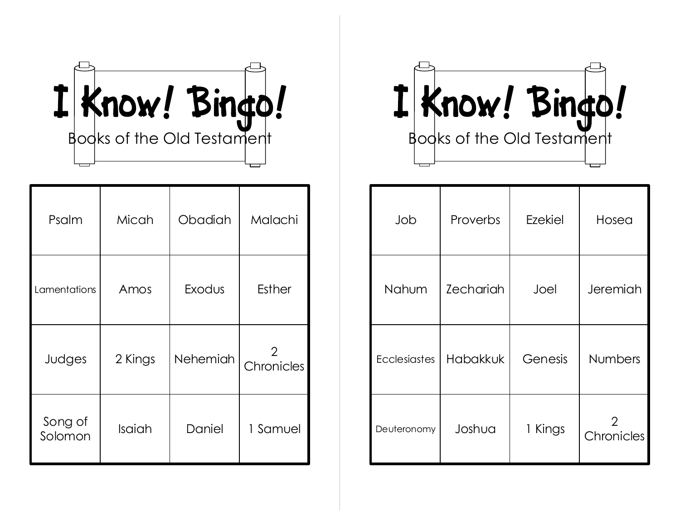

| Psalm              | Micah   | Obadiah         | Malachi         |
|--------------------|---------|-----------------|-----------------|
| Lamentations       | Amos    | Exodus          | <b>Esther</b>   |
| Judges             | 2 Kings | <b>Nehemiah</b> | 2<br>Chronicles |
| Song of<br>Solomon | Isaiah  | Daniel          | 1 Samuel        |

I Know! Bingo!

| Job                 | Proverbs         | Ezekiel | Hosea           |
|---------------------|------------------|---------|-----------------|
| Nahum               | <b>Zechariah</b> | Joel    | Jeremiah        |
| <b>Ecclesiastes</b> | <b>Habakkuk</b>  | Genesis | <b>Numbers</b>  |
| Deuteronomy         | Joshua           | 1 Kings | 2<br>Chronicles |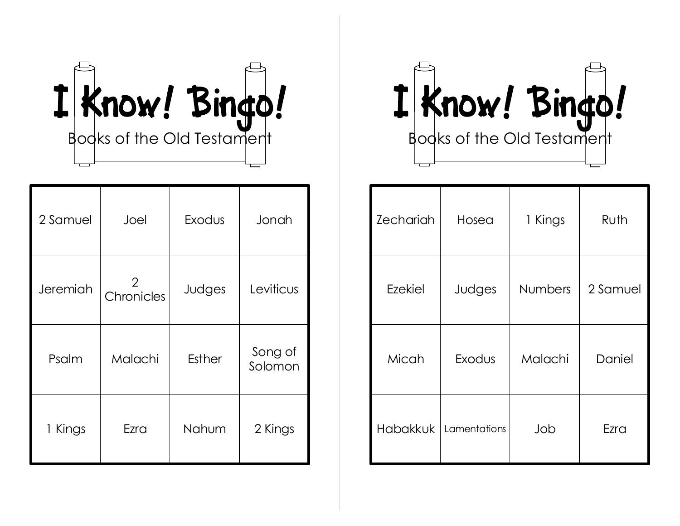

| 2 Samuel | Joel            | Exodus        | Jonah              |
|----------|-----------------|---------------|--------------------|
| Jeremiah | 2<br>Chronicles | Judges        | Leviticus          |
| Psalm    | Malachi         | <b>Esther</b> | Song of<br>Solomon |
| 1 Kings  | Ezra            | Nahum         | 2 Kings            |

I Know! Bingo!

| <b>Zechariah</b> | Hosea        | 1 Kings        | Ruth     |
|------------------|--------------|----------------|----------|
| <b>Ezekiel</b>   | Judges       | <b>Numbers</b> | 2 Samuel |
| Micah            | Exodus       | Malachi        | Daniel   |
| Habakkuk         | Lamentations | Job            | Ezra     |